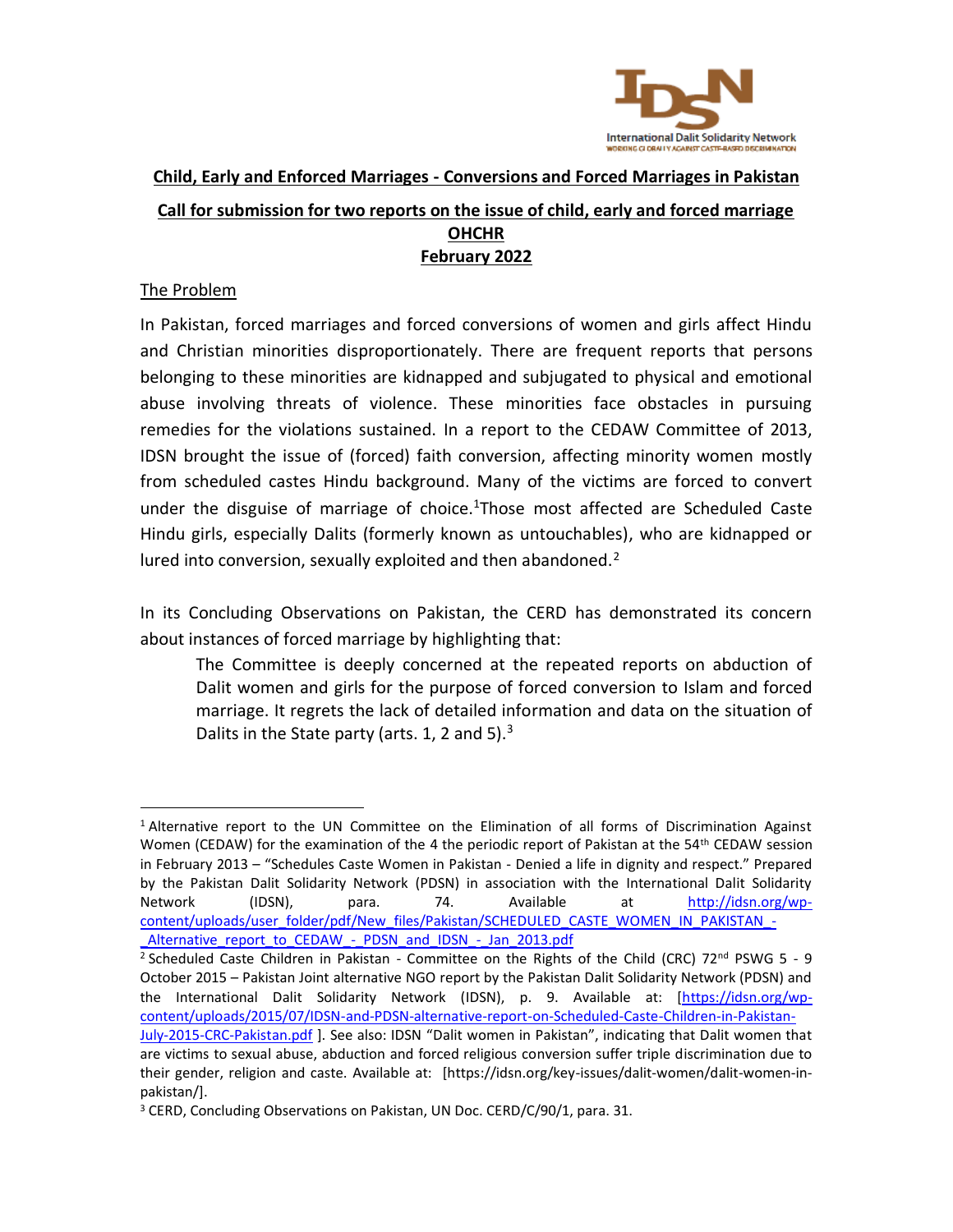

# **Child, Early and Enforced Marriages - Conversions and Forced Marriages in Pakistan Call for submission for two reports on the issue of child, early and forced marriage OHCHR February 2022**

# The Problem

In Pakistan, forced marriages and forced conversions of women and girls affect Hindu and Christian minorities disproportionately. There are frequent reports that persons belonging to these minorities are kidnapped and subjugated to physical and emotional abuse involving threats of violence. These minorities face obstacles in pursuing remedies for the violations sustained. In a report to the CEDAW Committee of 2013, IDSN brought the issue of (forced) faith conversion, affecting minority women mostly from scheduled castes Hindu background. Many of the victims are forced to convert under the disguise of marriage of choice.<sup>1</sup>Those most affected are Scheduled Caste Hindu girls, especially Dalits (formerly known as untouchables), who are kidnapped or lured into conversion, sexually exploited and then abandoned. $2$ 

In its Concluding Observations on Pakistan, the CERD has demonstrated its concern about instances of forced marriage by highlighting that:

The Committee is deeply concerned at the repeated reports on abduction of Dalit women and girls for the purpose of forced conversion to Islam and forced marriage. It regrets the lack of detailed information and data on the situation of Dalits in the State party (arts. 1, 2 and 5). $3$ 

<sup>&</sup>lt;sup>1</sup> Alternative report to the UN Committee on the Elimination of all forms of Discrimination Against Women (CEDAW) for the examination of the 4 the periodic report of Pakistan at the 54<sup>th</sup> CEDAW session in February 2013 – "Schedules Caste Women in Pakistan - Denied a life in dignity and respect." Prepared by the Pakistan Dalit Solidarity Network (PDSN) in association with the International Dalit Solidarity Network (IDSN), para. 74. Available at [http://idsn.org/wp](http://idsn.org/wp-content/uploads/user_folder/pdf/New_files/Pakistan/SCHEDULED_CASTE_WOMEN_IN_PAKISTAN_-_Alternative_report_to_CEDAW_-_PDSN_and_IDSN_-_Jan_2013.pdf)[content/uploads/user\\_folder/pdf/New\\_files/Pakistan/SCHEDULED\\_CASTE\\_WOMEN\\_IN\\_PAKISTAN\\_-](http://idsn.org/wp-content/uploads/user_folder/pdf/New_files/Pakistan/SCHEDULED_CASTE_WOMEN_IN_PAKISTAN_-_Alternative_report_to_CEDAW_-_PDSN_and_IDSN_-_Jan_2013.pdf) Alternative\_report\_to\_CEDAW\_-\_PDSN\_and\_IDSN\_-\_Jan\_2013.pdf

<sup>&</sup>lt;sup>2</sup> Scheduled Caste Children in Pakistan - Committee on the Rights of the Child (CRC) 72<sup>nd</sup> PSWG 5 - 9 October 2015 – Pakistan Joint alternative NGO report by the Pakistan Dalit Solidarity Network (PDSN) and the International Dalit Solidarity Network (IDSN), p. 9. Available at: [\[https://idsn.org/wp](https://idsn.org/wp-content/uploads/2015/07/IDSN-and-PDSN-alternative-report-on-Scheduled-Caste-Children-in-Pakistan-July-2015-CRC-Pakistan.pdf)[content/uploads/2015/07/IDSN-and-PDSN-alternative-report-on-Scheduled-Caste-Children-in-Pakistan-](https://idsn.org/wp-content/uploads/2015/07/IDSN-and-PDSN-alternative-report-on-Scheduled-Caste-Children-in-Pakistan-July-2015-CRC-Pakistan.pdf)

[July-2015-CRC-Pakistan.pdf](https://idsn.org/wp-content/uploads/2015/07/IDSN-and-PDSN-alternative-report-on-Scheduled-Caste-Children-in-Pakistan-July-2015-CRC-Pakistan.pdf) ]. See also: IDSN "Dalit women in Pakistan", indicating that Dalit women that are victims to sexual abuse, abduction and forced religious conversion suffer triple discrimination due to their gender, religion and caste. Available at: [https://idsn.org/key-issues/dalit-women/dalit-women-inpakistan/].

<sup>&</sup>lt;sup>3</sup> CERD, Concluding Observations on Pakistan, UN Doc. CERD/C/90/1, para. 31.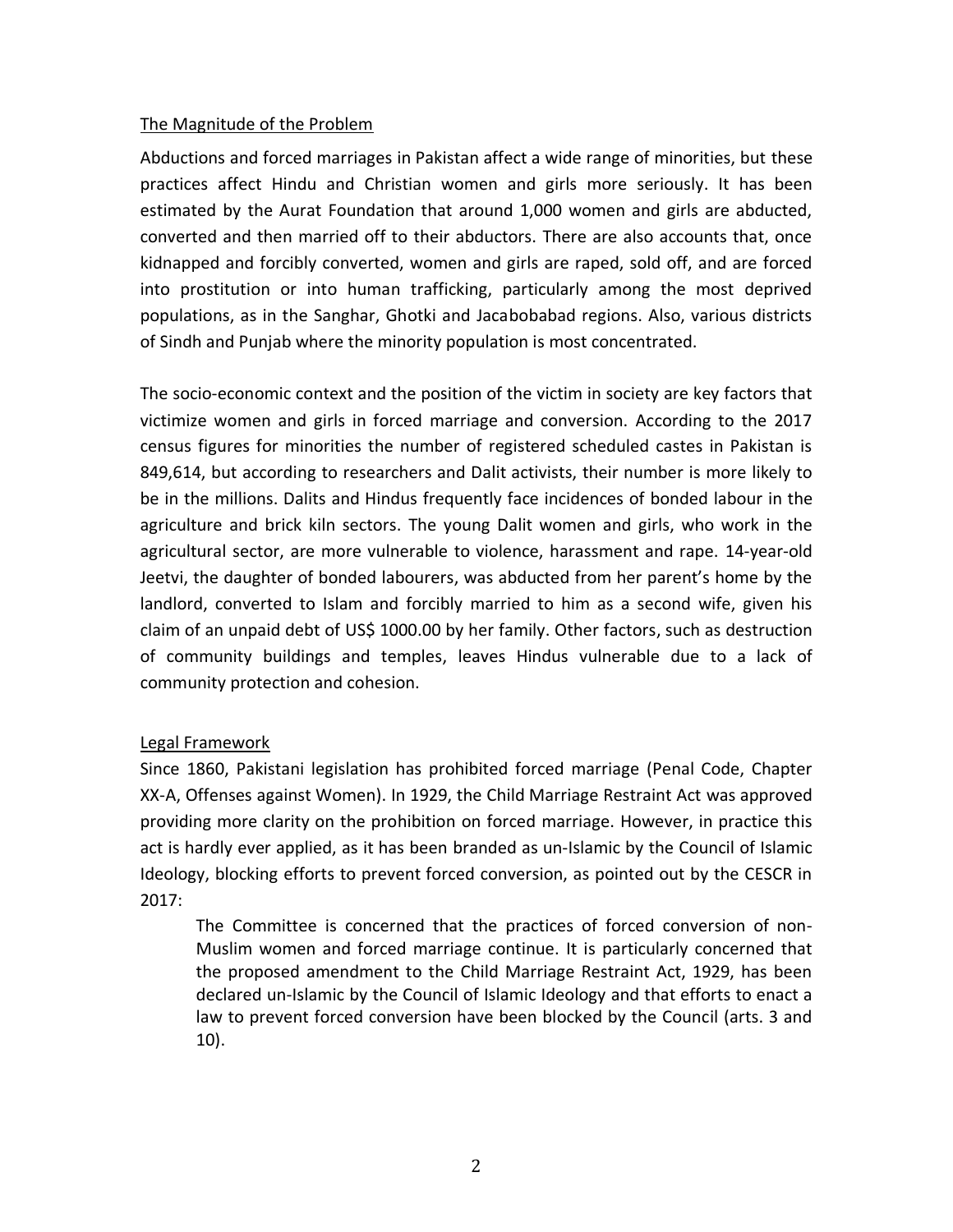## The Magnitude of the Problem

Abductions and forced marriages in Pakistan affect a wide range of minorities, but these practices affect Hindu and Christian women and girls more seriously. It has been estimated by the Aurat Foundation that around 1,000 women and girls are abducted, converted and then married off to their abductors. There are also accounts that, once kidnapped and forcibly converted, women and girls are raped, sold off, and are forced into prostitution or into human trafficking, particularly among the most deprived populations, as in the Sanghar, Ghotki and Jacabobabad regions. Also, various districts of Sindh and Punjab where the minority population is most concentrated.

The socio-economic context and the position of the victim in society are key factors that victimize women and girls in forced marriage and conversion. According to the 2017 census figures for minorities the number of registered scheduled castes in Pakistan is 849,614, but according to researchers and Dalit activists, their number is more likely to be in the millions. Dalits and Hindus frequently face incidences of bonded labour in the agriculture and brick kiln sectors. The young Dalit women and girls, who work in the agricultural sector, are more vulnerable to violence, harassment and rape. 14-year-old Jeetvi, the daughter of bonded labourers, was abducted from her parent's home by the landlord, converted to Islam and forcibly married to him as a second wife, given his claim of an unpaid debt of US\$ 1000.00 by her family. Other factors, such as destruction of community buildings and temples, leaves Hindus vulnerable due to a lack of community protection and cohesion.

# Legal Framework

Since 1860, Pakistani legislation has prohibited forced marriage (Penal Code, Chapter XX-A, Offenses against Women). In 1929, the Child Marriage Restraint Act was approved providing more clarity on the prohibition on forced marriage. However, in practice this act is hardly ever applied, as it has been branded as un-Islamic by the Council of Islamic Ideology, blocking efforts to prevent forced conversion, as pointed out by the CESCR in 2017:

The Committee is concerned that the practices of forced conversion of non-Muslim women and forced marriage continue. It is particularly concerned that the proposed amendment to the Child Marriage Restraint Act, 1929, has been declared un-Islamic by the Council of Islamic Ideology and that efforts to enact a law to prevent forced conversion have been blocked by the Council (arts. 3 and 10).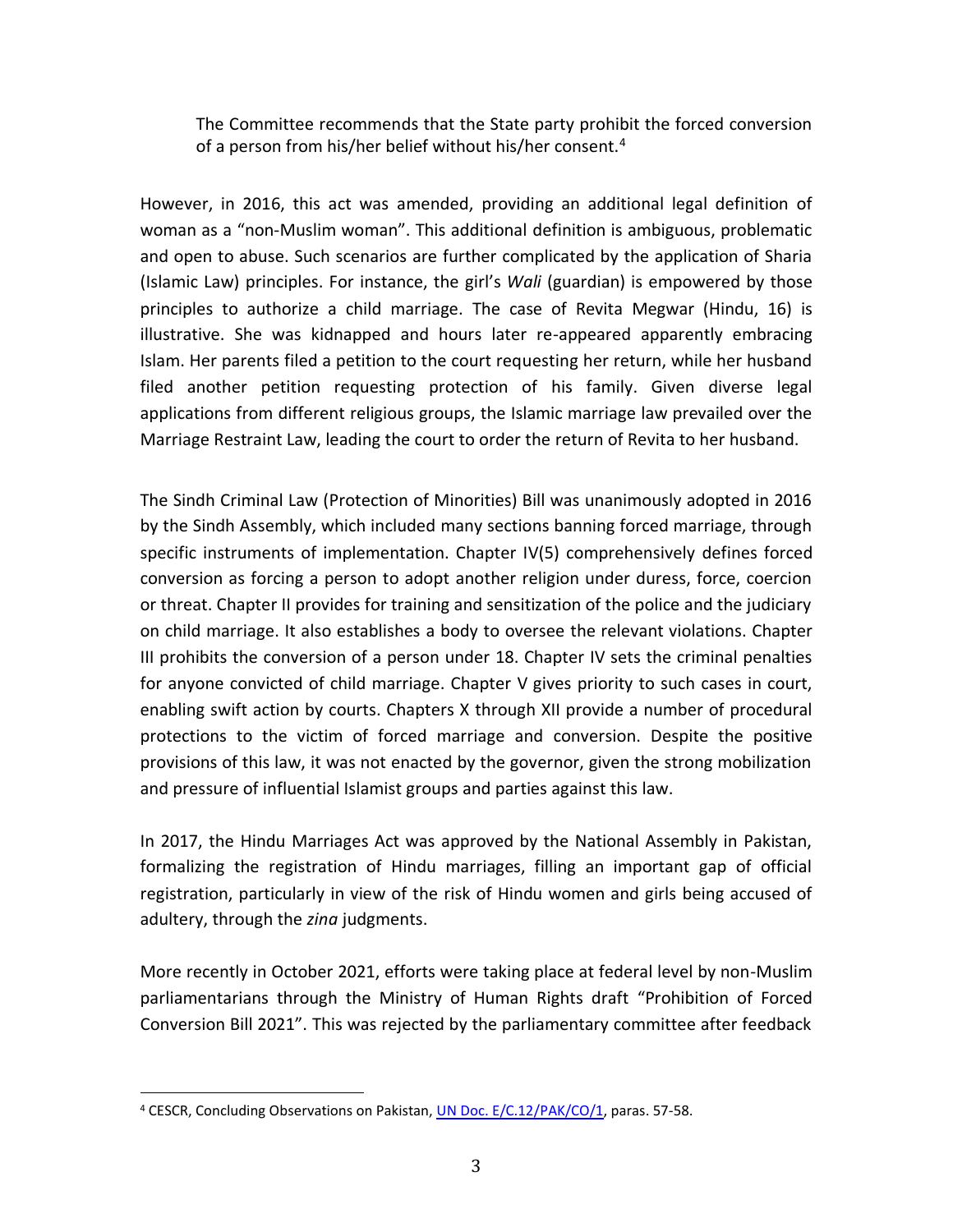The Committee recommends that the State party prohibit the forced conversion of a person from his/her belief without his/her consent.<sup>4</sup>

However, in 2016, this act was amended, providing an additional legal definition of woman as a "non-Muslim woman". This additional definition is ambiguous, problematic and open to abuse. Such scenarios are further complicated by the application of Sharia (Islamic Law) principles. For instance, the girl's *Wali* (guardian) is empowered by those principles to authorize a child marriage. The case of Revita Megwar (Hindu, 16) is illustrative. She was kidnapped and hours later re-appeared apparently embracing Islam. Her parents filed a petition to the court requesting her return, while her husband filed another petition requesting protection of his family. Given diverse legal applications from different religious groups, the Islamic marriage law prevailed over the Marriage Restraint Law, leading the court to order the return of Revita to her husband.

The Sindh Criminal Law (Protection of Minorities) Bill was unanimously adopted in 2016 by the Sindh Assembly, which included many sections banning forced marriage, through specific instruments of implementation. Chapter IV(5) comprehensively defines forced conversion as forcing a person to adopt another religion under duress, force, coercion or threat. Chapter II provides for training and sensitization of the police and the judiciary on child marriage. It also establishes a body to oversee the relevant violations. Chapter III prohibits the conversion of a person under 18. Chapter IV sets the criminal penalties for anyone convicted of child marriage. Chapter V gives priority to such cases in court, enabling swift action by courts. Chapters X through XII provide a number of procedural protections to the victim of forced marriage and conversion. Despite the positive provisions of this law, it was not enacted by the governor, given the strong mobilization and pressure of influential Islamist groups and parties against this law.

In 2017, the Hindu Marriages Act was approved by the National Assembly in Pakistan, formalizing the registration of Hindu marriages, filling an important gap of official registration, particularly in view of the risk of Hindu women and girls being accused of adultery, through the *zina* judgments.

More recently in October 2021, efforts were taking place at federal level by non-Muslim parliamentarians through the Ministry of Human Rights draft "Prohibition of Forced Conversion Bill 2021". This was rejected by the parliamentary committee after feedback

<sup>&</sup>lt;sup>4</sup> CESCR, Concluding Observations on Pakistan, *UN Doc. E/C.12/PAK/CO/1*, paras. 57-58.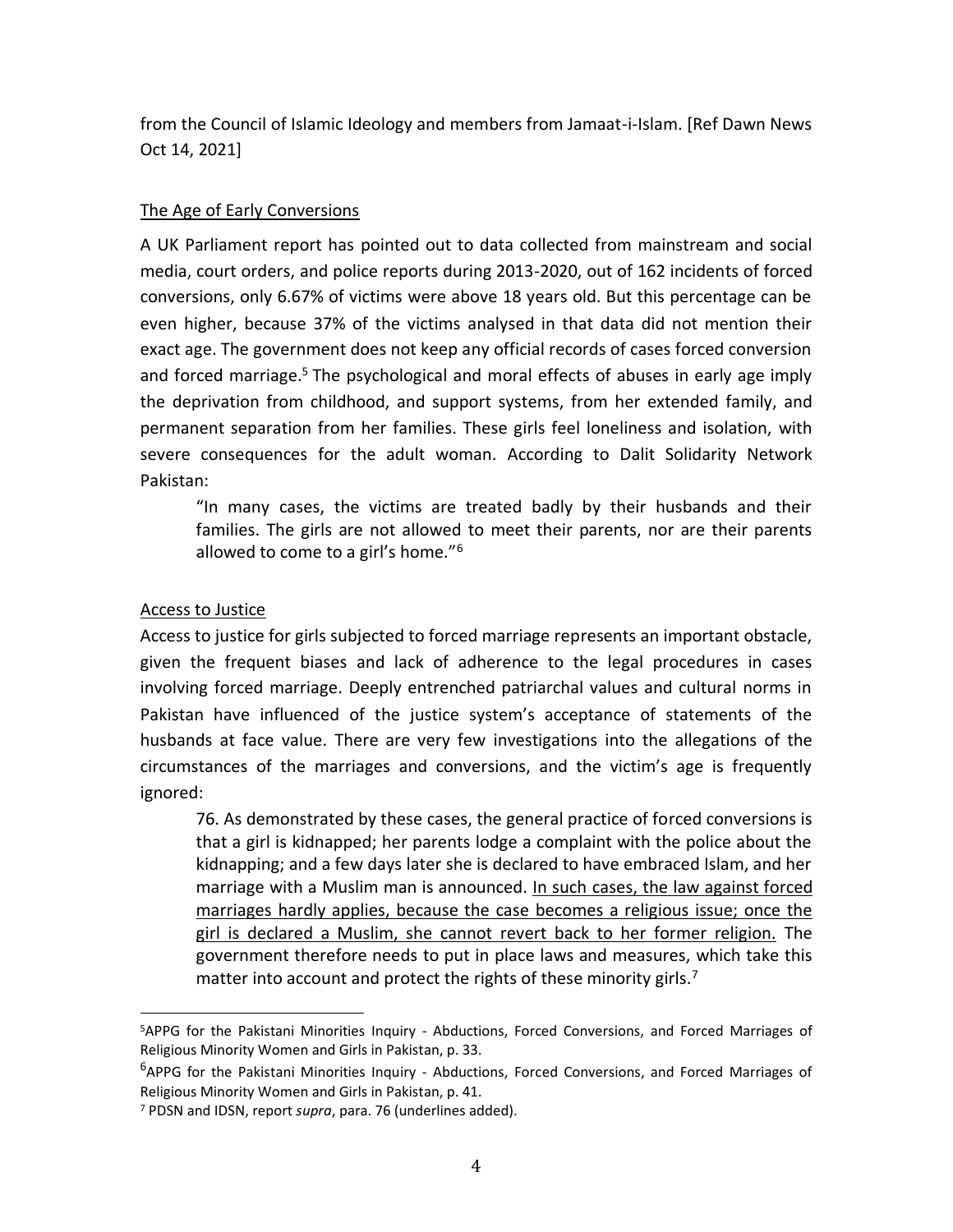from the Council of Islamic Ideology and members from Jamaat-i-Islam. [Ref Dawn News Oct 14, 2021]

## The Age of Early Conversions

A UK Parliament report has pointed out to data collected from mainstream and social media, court orders, and police reports during 2013-2020, out of 162 incidents of forced conversions, only 6.67% of victims were above 18 years old. But this percentage can be even higher, because 37% of the victims analysed in that data did not mention their exact age. The government does not keep any official records of cases forced conversion and forced marriage.<sup>5</sup> The psychological and moral effects of abuses in early age imply the deprivation from childhood, and support systems, from her extended family, and permanent separation from her families. These girls feel loneliness and isolation, with severe consequences for the adult woman. According to Dalit Solidarity Network Pakistan:

"In many cases, the victims are treated badly by their husbands and their families. The girls are not allowed to meet their parents, nor are their parents allowed to come to a girl's home."<sup>6</sup>

# Access to Justice

Access to justice for girls subjected to forced marriage represents an important obstacle, given the frequent biases and lack of adherence to the legal procedures in cases involving forced marriage. Deeply entrenched patriarchal values and cultural norms in Pakistan have influenced of the justice system's acceptance of statements of the husbands at face value. There are very few investigations into the allegations of the circumstances of the marriages and conversions, and the victim's age is frequently ignored:

76. As demonstrated by these cases, the general practice of forced conversions is that a girl is kidnapped; her parents lodge a complaint with the police about the kidnapping; and a few days later she is declared to have embraced Islam, and her marriage with a Muslim man is announced. In such cases, the law against forced marriages hardly applies, because the case becomes a religious issue; once the girl is declared a Muslim, she cannot revert back to her former religion. The government therefore needs to put in place laws and measures, which take this matter into account and protect the rights of these minority girls.<sup>7</sup>

<sup>5</sup>APPG for the Pakistani Minorities Inquiry - Abductions, Forced Conversions, and Forced Marriages of Religious Minority Women and Girls in Pakistan, p. 33.

<sup>&</sup>lt;sup>6</sup>APPG for the Pakistani Minorities Inquiry - Abductions, Forced Conversions, and Forced Marriages of Religious Minority Women and Girls in Pakistan, p. 41.

<sup>7</sup> PDSN and IDSN, report *supra*, para. 76 (underlines added).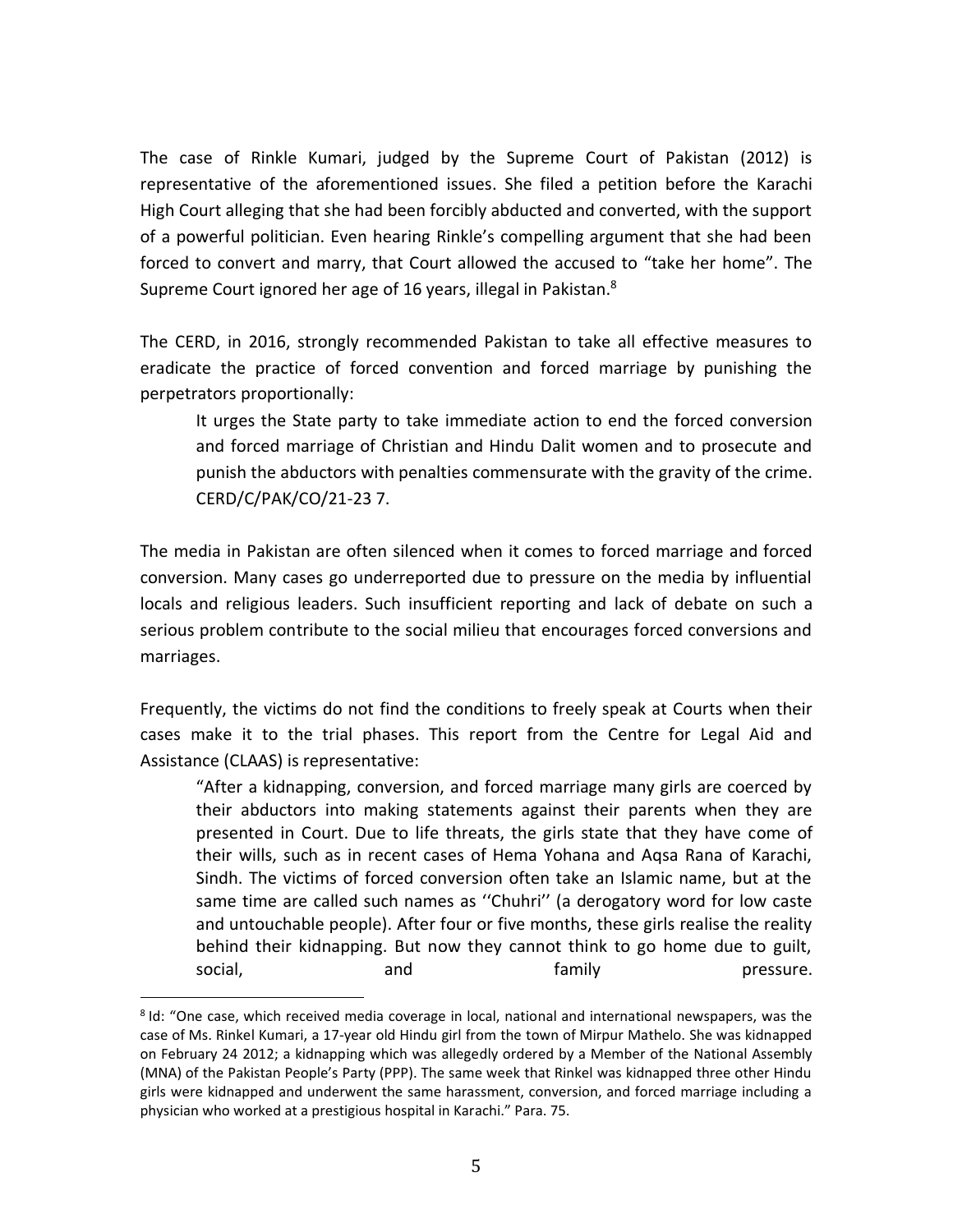The case of Rinkle Kumari, judged by the Supreme Court of Pakistan (2012) is representative of the aforementioned issues. She filed a petition before the Karachi High Court alleging that she had been forcibly abducted and converted, with the support of a powerful politician. Even hearing Rinkle's compelling argument that she had been forced to convert and marry, that Court allowed the accused to "take her home". The Supreme Court ignored her age of 16 years, illegal in Pakistan.<sup>8</sup>

The CERD, in 2016, strongly recommended Pakistan to take all effective measures to eradicate the practice of forced convention and forced marriage by punishing the perpetrators proportionally:

It urges the State party to take immediate action to end the forced conversion and forced marriage of Christian and Hindu Dalit women and to prosecute and punish the abductors with penalties commensurate with the gravity of the crime. CERD/C/PAK/CO/21-23 7.

The media in Pakistan are often silenced when it comes to forced marriage and forced conversion. Many cases go underreported due to pressure on the media by influential locals and religious leaders. Such insufficient reporting and lack of debate on such a serious problem contribute to the social milieu that encourages forced conversions and marriages.

Frequently, the victims do not find the conditions to freely speak at Courts when their cases make it to the trial phases. This report from the Centre for Legal Aid and Assistance (CLAAS) is representative:

"After a kidnapping, conversion, and forced marriage many girls are coerced by their abductors into making statements against their parents when they are presented in Court. Due to life threats, the girls state that they have come of their wills, such as in recent cases of Hema Yohana and Aqsa Rana of Karachi, Sindh. The victims of forced conversion often take an Islamic name, but at the same time are called such names as ''Chuhri'' (a derogatory word for low caste and untouchable people). After four or five months, these girls realise the reality behind their kidnapping. But now they cannot think to go home due to guilt, social, and and family pressure.

<sup>8</sup> Id: "One case, which received media coverage in local, national and international newspapers, was the case of Ms. Rinkel Kumari, a 17-year old Hindu girl from the town of Mirpur Mathelo. She was kidnapped on February 24 2012; a kidnapping which was allegedly ordered by a Member of the National Assembly (MNA) of the Pakistan People's Party (PPP). The same week that Rinkel was kidnapped three other Hindu girls were kidnapped and underwent the same harassment, conversion, and forced marriage including a physician who worked at a prestigious hospital in Karachi." Para. 75.